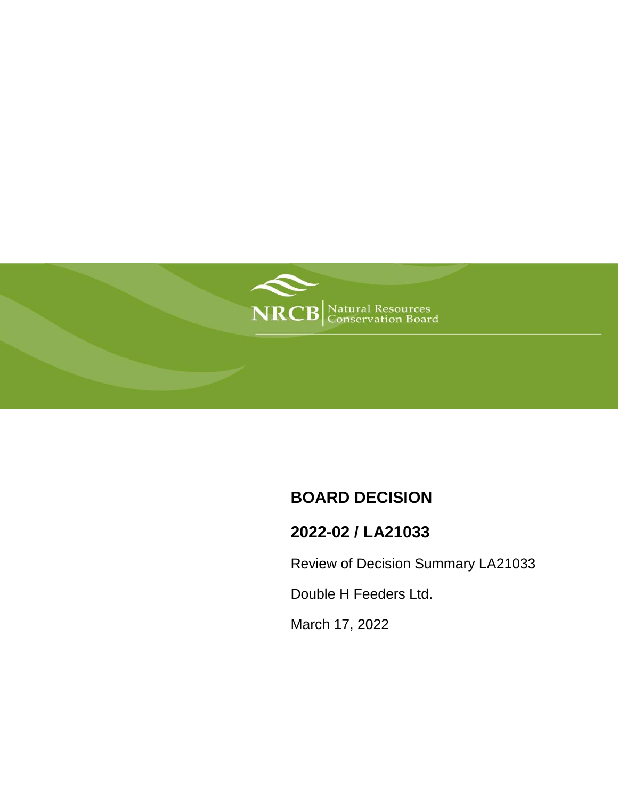

# **BOARD DECISION**

# **2022-02 / LA21033**

Review of Decision Summary LA21033

Double H Feeders Ltd.

March 17, 2022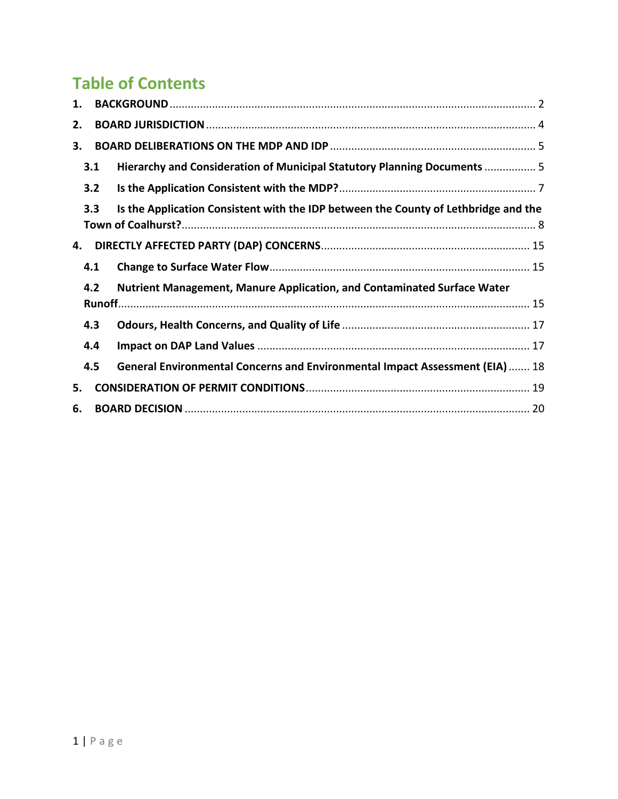# **Table of Contents**

| 1.  |     |                                                                                     |  |  |  |
|-----|-----|-------------------------------------------------------------------------------------|--|--|--|
| 2.  |     |                                                                                     |  |  |  |
| 3.  |     |                                                                                     |  |  |  |
|     | 3.1 | Hierarchy and Consideration of Municipal Statutory Planning Documents  5            |  |  |  |
| 3.2 |     |                                                                                     |  |  |  |
|     | 3.3 | Is the Application Consistent with the IDP between the County of Lethbridge and the |  |  |  |
| 4.  |     |                                                                                     |  |  |  |
|     | 4.1 |                                                                                     |  |  |  |
|     | 4.2 | Nutrient Management, Manure Application, and Contaminated Surface Water             |  |  |  |
|     | 4.3 |                                                                                     |  |  |  |
|     | 4.4 |                                                                                     |  |  |  |
|     | 4.5 | General Environmental Concerns and Environmental Impact Assessment (EIA)  18        |  |  |  |
| 5.  |     |                                                                                     |  |  |  |
| 6.  |     |                                                                                     |  |  |  |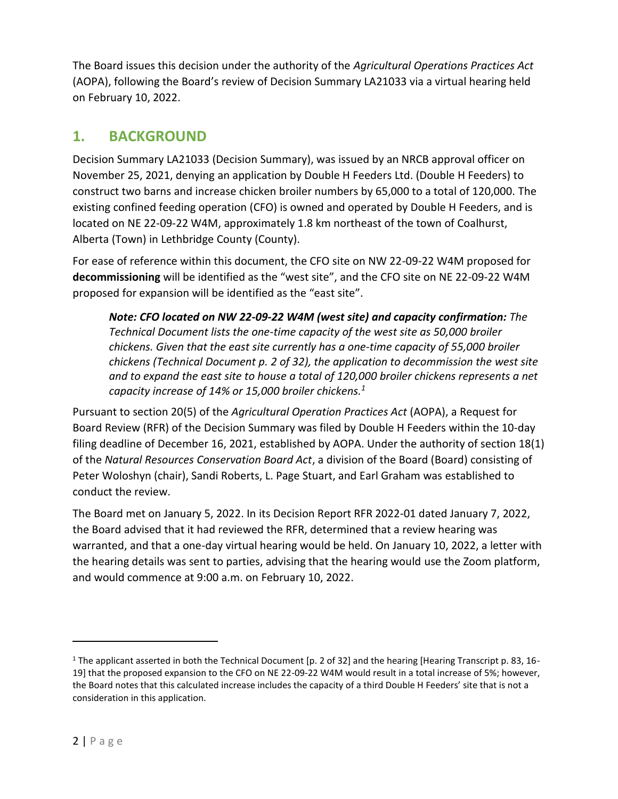The Board issues this decision under the authority of the *Agricultural Operations Practices Act* (AOPA), following the Board's review of Decision Summary LA21033 via a virtual hearing held on February 10, 2022.

# <span id="page-2-0"></span>**1. BACKGROUND**

Decision Summary LA21033 (Decision Summary), was issued by an NRCB approval officer on November 25, 2021, denying an application by Double H Feeders Ltd. (Double H Feeders) to construct two barns and increase chicken broiler numbers by 65,000 to a total of 120,000. The existing confined feeding operation (CFO) is owned and operated by Double H Feeders, and is located on NE 22-09-22 W4M, approximately 1.8 km northeast of the town of Coalhurst, Alberta (Town) in Lethbridge County (County).

For ease of reference within this document, the CFO site on NW 22-09-22 W4M proposed for **decommissioning** will be identified as the "west site", and the CFO site on NE 22-09-22 W4M proposed for expansion will be identified as the "east site".

*Note: CFO located on NW 22-09-22 W4M (west site) and capacity confirmation: The Technical Document lists the one-time capacity of the west site as 50,000 broiler chickens. Given that the east site currently has a one-time capacity of 55,000 broiler chickens (Technical Document p. 2 of 32), the application to decommission the west site and to expand the east site to house a total of 120,000 broiler chickens represents a net capacity increase of 14% or 15,000 broiler chickens.<sup>1</sup>*

Pursuant to section 20(5) of the *Agricultural Operation Practices Act* (AOPA), a Request for Board Review (RFR) of the Decision Summary was filed by Double H Feeders within the 10-day filing deadline of December 16, 2021, established by AOPA. Under the authority of section 18(1) of the *Natural Resources Conservation Board Act*, a division of the Board (Board) consisting of Peter Woloshyn (chair), Sandi Roberts, L. Page Stuart, and Earl Graham was established to conduct the review.

The Board met on January 5, 2022. In its Decision Report RFR 2022-01 dated January 7, 2022, the Board advised that it had reviewed the RFR, determined that a review hearing was warranted, and that a one-day virtual hearing would be held. On January 10, 2022, a letter with the hearing details was sent to parties, advising that the hearing would use the Zoom platform, and would commence at 9:00 a.m. on February 10, 2022.

 $\overline{a}$ 

<sup>1</sup> The applicant asserted in both the Technical Document [p. 2 of 32] and the hearing [Hearing Transcript p. 83, 16- 19] that the proposed expansion to the CFO on NE 22-09-22 W4M would result in a total increase of 5%; however, the Board notes that this calculated increase includes the capacity of a third Double H Feeders' site that is not a consideration in this application.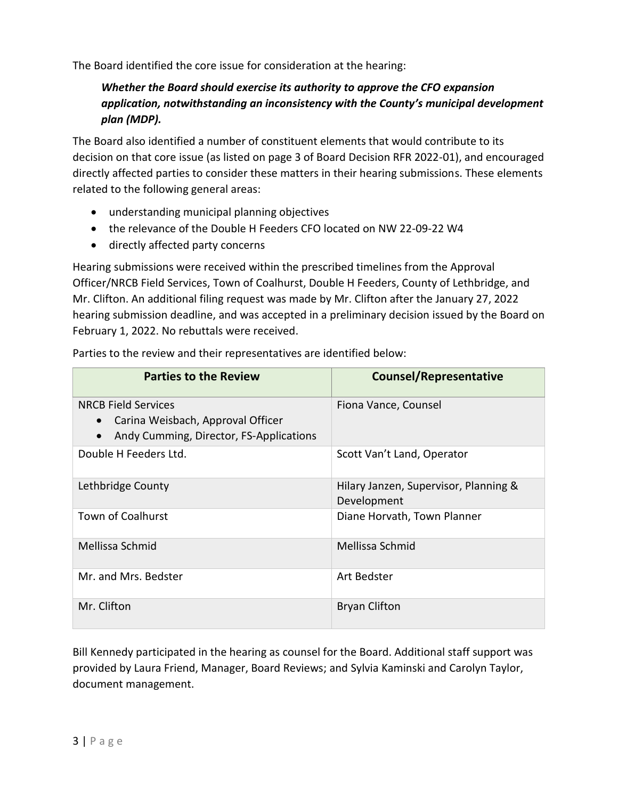The Board identified the core issue for consideration at the hearing:

### *Whether the Board should exercise its authority to approve the CFO expansion application, notwithstanding an inconsistency with the County's municipal development plan (MDP).*

The Board also identified a number of constituent elements that would contribute to its decision on that core issue (as listed on page 3 of Board Decision RFR 2022-01), and encouraged directly affected parties to consider these matters in their hearing submissions. These elements related to the following general areas:

- understanding municipal planning objectives
- the relevance of the Double H Feeders CFO located on NW 22-09-22 W4
- directly affected party concerns

Hearing submissions were received within the prescribed timelines from the Approval Officer/NRCB Field Services, Town of Coalhurst, Double H Feeders, County of Lethbridge, and Mr. Clifton. An additional filing request was made by Mr. Clifton after the January 27, 2022 hearing submission deadline, and was accepted in a preliminary decision issued by the Board on February 1, 2022. No rebuttals were received.

Parties to the review and their representatives are identified below:

| <b>Parties to the Review</b>                                                                               | <b>Counsel/Representative</b>                        |
|------------------------------------------------------------------------------------------------------------|------------------------------------------------------|
| <b>NRCB Field Services</b><br>Carina Weisbach, Approval Officer<br>Andy Cumming, Director, FS-Applications | Fiona Vance, Counsel                                 |
| Double H Feeders Ltd.                                                                                      | Scott Van't Land, Operator                           |
| Lethbridge County                                                                                          | Hilary Janzen, Supervisor, Planning &<br>Development |
| <b>Town of Coalhurst</b>                                                                                   | Diane Horvath, Town Planner                          |
| Mellissa Schmid                                                                                            | Mellissa Schmid                                      |
| Mr. and Mrs. Bedster                                                                                       | Art Bedster                                          |
| Mr. Clifton                                                                                                | <b>Bryan Clifton</b>                                 |

Bill Kennedy participated in the hearing as counsel for the Board. Additional staff support was provided by Laura Friend, Manager, Board Reviews; and Sylvia Kaminski and Carolyn Taylor, document management.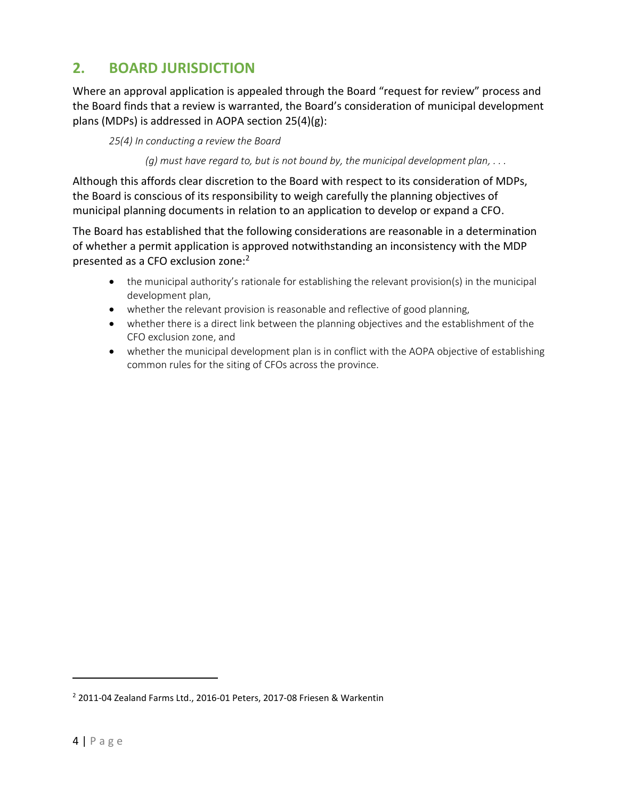# <span id="page-4-0"></span>**2. BOARD JURISDICTION**

Where an approval application is appealed through the Board "request for review" process and the Board finds that a review is warranted, the Board's consideration of municipal development plans (MDPs) is addressed in AOPA section 25(4)(g):

*25(4) In conducting a review the Board*

*(g) must have regard to, but is not bound by, the municipal development plan, . . .* 

Although this affords clear discretion to the Board with respect to its consideration of MDPs, the Board is conscious of its responsibility to weigh carefully the planning objectives of municipal planning documents in relation to an application to develop or expand a CFO.

The Board has established that the following considerations are reasonable in a determination of whether a permit application is approved notwithstanding an inconsistency with the MDP presented as a CFO exclusion zone:<sup>2</sup>

- the municipal authority's rationale for establishing the relevant provision(s) in the municipal development plan,
- whether the relevant provision is reasonable and reflective of good planning,
- whether there is a direct link between the planning objectives and the establishment of the CFO exclusion zone, and
- whether the municipal development plan is in conflict with the AOPA objective of establishing common rules for the siting of CFOs across the province.

 $\overline{a}$ 

<sup>2</sup> 2011-04 Zealand Farms Ltd., 2016-01 Peters, 2017-08 Friesen & Warkentin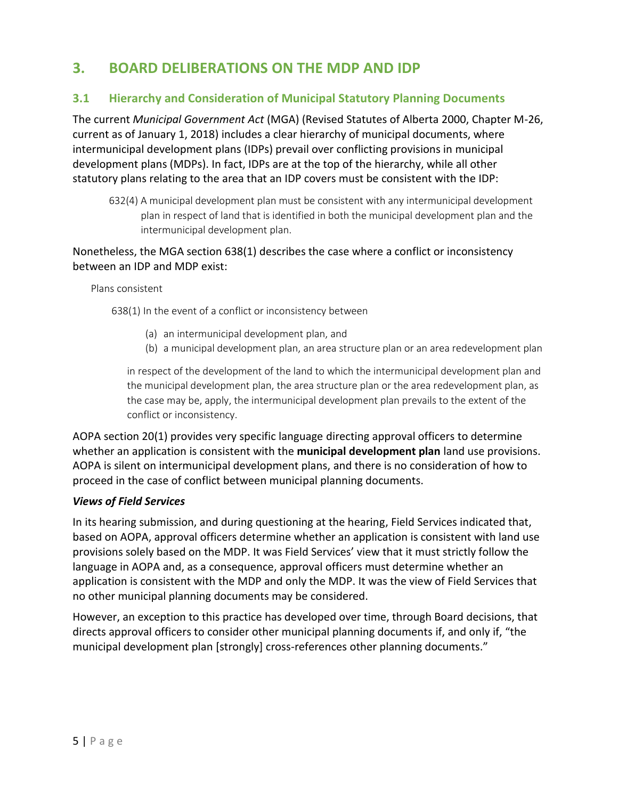# <span id="page-5-0"></span>**3. BOARD DELIBERATIONS ON THE MDP AND IDP**

#### <span id="page-5-1"></span>**3.1 Hierarchy and Consideration of Municipal Statutory Planning Documents**

The current *Municipal Government Act* (MGA) (Revised Statutes of Alberta 2000, Chapter M-26, current as of January 1, 2018) includes a clear hierarchy of municipal documents, where intermunicipal development plans (IDPs) prevail over conflicting provisions in municipal development plans (MDPs). In fact, IDPs are at the top of the hierarchy, while all other statutory plans relating to the area that an IDP covers must be consistent with the IDP:

632(4) A municipal development plan must be consistent with any intermunicipal development plan in respect of land that is identified in both the municipal development plan and the intermunicipal development plan.

#### Nonetheless, the MGA section 638(1) describes the case where a conflict or inconsistency between an IDP and MDP exist:

Plans consistent

638(1) In the event of a conflict or inconsistency between

- (a) an intermunicipal development plan, and
- (b) a municipal development plan, an area structure plan or an area redevelopment plan

in respect of the development of the land to which the intermunicipal development plan and the municipal development plan, the area structure plan or the area redevelopment plan, as the case may be, apply, the intermunicipal development plan prevails to the extent of the conflict or inconsistency.

AOPA section 20(1) provides very specific language directing approval officers to determine whether an application is consistent with the **municipal development plan** land use provisions. AOPA is silent on intermunicipal development plans, and there is no consideration of how to proceed in the case of conflict between municipal planning documents.

#### *Views of Field Services*

In its hearing submission, and during questioning at the hearing, Field Services indicated that, based on AOPA, approval officers determine whether an application is consistent with land use provisions solely based on the MDP. It was Field Services' view that it must strictly follow the language in AOPA and, as a consequence, approval officers must determine whether an application is consistent with the MDP and only the MDP. It was the view of Field Services that no other municipal planning documents may be considered.

However, an exception to this practice has developed over time, through Board decisions, that directs approval officers to consider other municipal planning documents if, and only if, "the municipal development plan [strongly] cross-references other planning documents."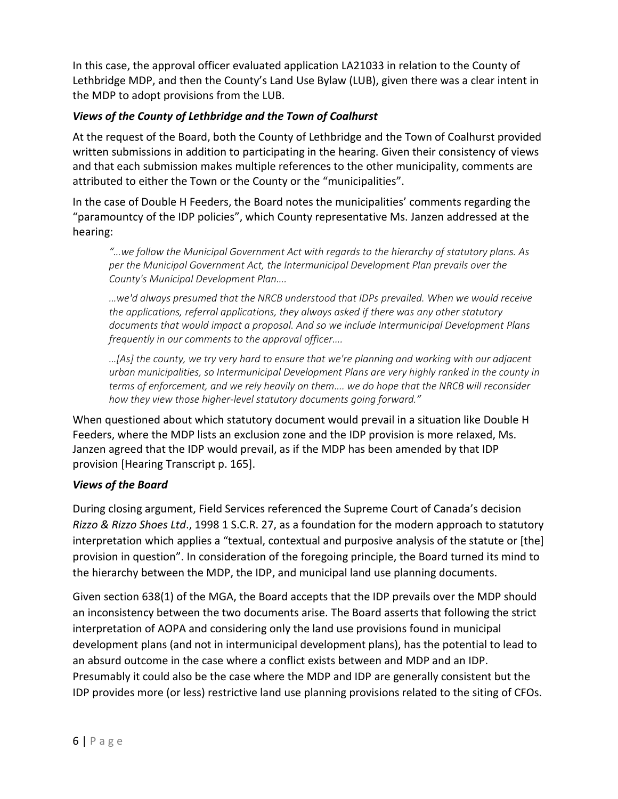In this case, the approval officer evaluated application LA21033 in relation to the County of Lethbridge MDP, and then the County's Land Use Bylaw (LUB), given there was a clear intent in the MDP to adopt provisions from the LUB.

#### *Views of the County of Lethbridge and the Town of Coalhurst*

At the request of the Board, both the County of Lethbridge and the Town of Coalhurst provided written submissions in addition to participating in the hearing. Given their consistency of views and that each submission makes multiple references to the other municipality, comments are attributed to either the Town or the County or the "municipalities".

In the case of Double H Feeders, the Board notes the municipalities' comments regarding the "paramountcy of the IDP policies", which County representative Ms. Janzen addressed at the hearing:

*"…we follow the Municipal Government Act with regards to the hierarchy of statutory plans. As per the Municipal Government Act, the Intermunicipal Development Plan prevails over the County's Municipal Development Plan….* 

*…we'd always presumed that the NRCB understood that IDPs prevailed. When we would receive the applications, referral applications, they always asked if there was any other statutory documents that would impact a proposal. And so we include Intermunicipal Development Plans frequently in our comments to the approval officer….*

*…[As] the county, we try very hard to ensure that we're planning and working with our adjacent urban municipalities, so Intermunicipal Development Plans are very highly ranked in the county in terms of enforcement, and we rely heavily on them…. we do hope that the NRCB will reconsider how they view those higher-level statutory documents going forward."* 

When questioned about which statutory document would prevail in a situation like Double H Feeders, where the MDP lists an exclusion zone and the IDP provision is more relaxed, Ms. Janzen agreed that the IDP would prevail, as if the MDP has been amended by that IDP provision [Hearing Transcript p. 165].

#### *Views of the Board*

During closing argument, Field Services referenced the Supreme Court of Canada's decision *Rizzo & Rizzo Shoes Ltd*., 1998 1 S.C.R. 27, as a foundation for the modern approach to statutory interpretation which applies a "textual, contextual and purposive analysis of the statute or [the] provision in question". In consideration of the foregoing principle, the Board turned its mind to the hierarchy between the MDP, the IDP, and municipal land use planning documents.

Given section 638(1) of the MGA, the Board accepts that the IDP prevails over the MDP should an inconsistency between the two documents arise. The Board asserts that following the strict interpretation of AOPA and considering only the land use provisions found in municipal development plans (and not in intermunicipal development plans), has the potential to lead to an absurd outcome in the case where a conflict exists between and MDP and an IDP. Presumably it could also be the case where the MDP and IDP are generally consistent but the IDP provides more (or less) restrictive land use planning provisions related to the siting of CFOs.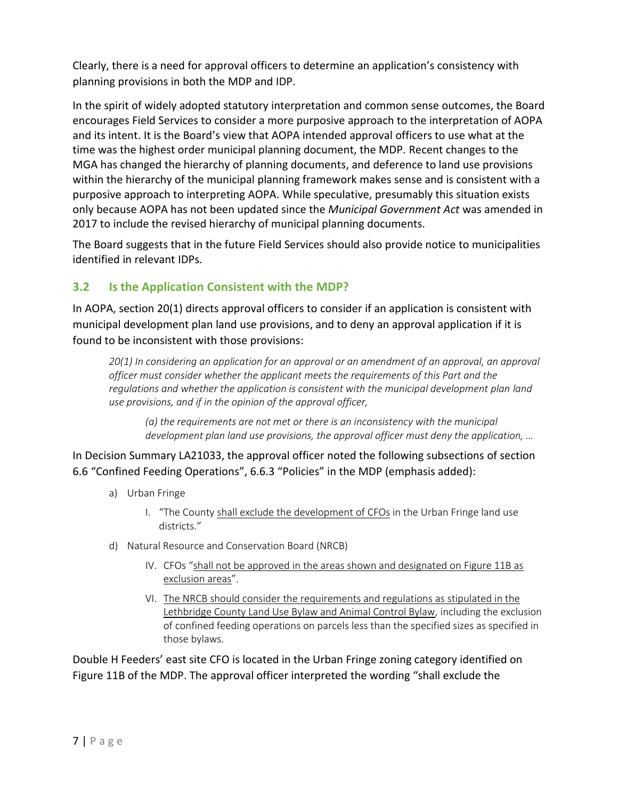Clearly, there is a need for approval officers to determine an application's consistency with planning provisions in both the MDP and IDP.

In the spirit of widely adopted statutory interpretation and common sense outcomes, the Board encourages Field Services to consider a more purposive approach to the interpretation of AOPA and its intent. It is the Board's view that AOPA intended approval officers to use what at the time was the highest order municipal planning document, the MDP. Recent changes to the MGA has changed the hierarchy of planning documents, and deference to land use provisions within the hierarchy of the municipal planning framework makes sense and is consistent with a purposive approach to interpreting AOPA. While speculative, presumably this situation exists only because AOPA has not been updated since the *Municipal Government Act* was amended in 2017 to include the revised hierarchy of municipal planning documents.

The Board suggests that in the future Field Services should also provide notice to municipalities identified in relevant IDPs.

## <span id="page-7-0"></span>**3.2 Is the Application Consistent with the MDP?**

In AOPA, section 20(1) directs approval officers to consider if an application is consistent with municipal development plan land use provisions, and to deny an approval application if it is found to be inconsistent with those provisions:

*20(1) In considering an application for an approval or an amendment of an approval, an approval officer must consider whether the applicant meets the requirements of this Part and the regulations and whether the application is consistent with the municipal development plan land use provisions, and if in the opinion of the approval officer,* 

*(a) the requirements are not met or there is an inconsistency with the municipal development plan land use provisions, the approval officer must deny the application, …* 

In Decision Summary LA21033, the approval officer noted the following subsections of section 6.6 "Confined Feeding Operations", 6.6.3 "Policies" in the MDP (emphasis added):

- a) Urban Fringe
	- I. "The County shall exclude the development of CFOs in the Urban Fringe land use districts."
- d) Natural Resource and Conservation Board (NRCB)
	- IV. CFOs "shall not be approved in the areas shown and designated on Figure 11B as exclusion areas".
	- VI. The NRCB should consider the requirements and regulations as stipulated in the Lethbridge County Land Use Bylaw and Animal Control Bylaw, including the exclusion of confined feeding operations on parcels less than the specified sizes as specified in those bylaws.

Double H Feeders' east site CFO is located in the Urban Fringe zoning category identified on Figure 11B of the MDP. The approval officer interpreted the wording "shall exclude the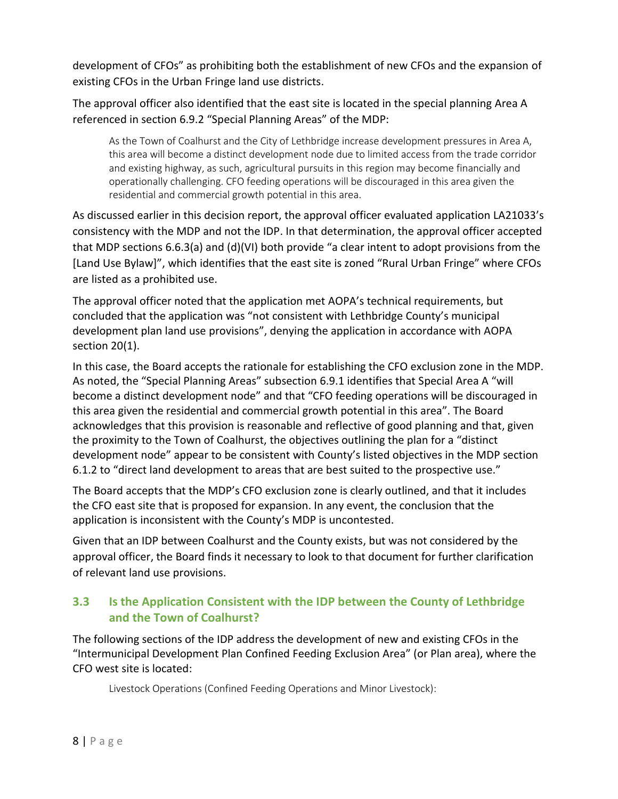development of CFOs" as prohibiting both the establishment of new CFOs and the expansion of existing CFOs in the Urban Fringe land use districts.

The approval officer also identified that the east site is located in the special planning Area A referenced in section 6.9.2 "Special Planning Areas" of the MDP:

As the Town of Coalhurst and the City of Lethbridge increase development pressures in Area A, this area will become a distinct development node due to limited access from the trade corridor and existing highway, as such, agricultural pursuits in this region may become financially and operationally challenging. CFO feeding operations will be discouraged in this area given the residential and commercial growth potential in this area.

As discussed earlier in this decision report, the approval officer evaluated application LA21033's consistency with the MDP and not the IDP. In that determination, the approval officer accepted that MDP sections 6.6.3(a) and (d)(VI) both provide "a clear intent to adopt provisions from the [Land Use Bylaw]", which identifies that the east site is zoned "Rural Urban Fringe" where CFOs are listed as a prohibited use.

The approval officer noted that the application met AOPA's technical requirements, but concluded that the application was "not consistent with Lethbridge County's municipal development plan land use provisions", denying the application in accordance with AOPA section 20(1).

In this case, the Board accepts the rationale for establishing the CFO exclusion zone in the MDP. As noted, the "Special Planning Areas" subsection 6.9.1 identifies that Special Area A "will become a distinct development node" and that "CFO feeding operations will be discouraged in this area given the residential and commercial growth potential in this area". The Board acknowledges that this provision is reasonable and reflective of good planning and that, given the proximity to the Town of Coalhurst, the objectives outlining the plan for a "distinct development node" appear to be consistent with County's listed objectives in the MDP section 6.1.2 to "direct land development to areas that are best suited to the prospective use."

The Board accepts that the MDP's CFO exclusion zone is clearly outlined, and that it includes the CFO east site that is proposed for expansion. In any event, the conclusion that the application is inconsistent with the County's MDP is uncontested.

Given that an IDP between Coalhurst and the County exists, but was not considered by the approval officer, the Board finds it necessary to look to that document for further clarification of relevant land use provisions.

### <span id="page-8-0"></span>**3.3 Is the Application Consistent with the IDP between the County of Lethbridge and the Town of Coalhurst?**

The following sections of the IDP address the development of new and existing CFOs in the "Intermunicipal Development Plan Confined Feeding Exclusion Area" (or Plan area), where the CFO west site is located:

Livestock Operations (Confined Feeding Operations and Minor Livestock):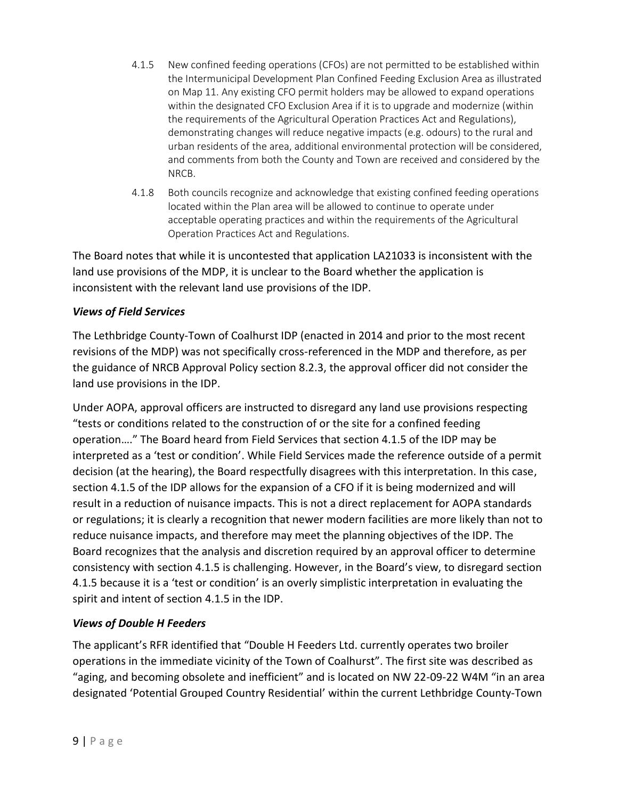- 4.1.5 New confined feeding operations (CFOs) are not permitted to be established within the Intermunicipal Development Plan Confined Feeding Exclusion Area as illustrated on Map 11. Any existing CFO permit holders may be allowed to expand operations within the designated CFO Exclusion Area if it is to upgrade and modernize (within the requirements of the Agricultural Operation Practices Act and Regulations), demonstrating changes will reduce negative impacts (e.g. odours) to the rural and urban residents of the area, additional environmental protection will be considered, and comments from both the County and Town are received and considered by the NRCB.
- 4.1.8 Both councils recognize and acknowledge that existing confined feeding operations located within the Plan area will be allowed to continue to operate under acceptable operating practices and within the requirements of the Agricultural Operation Practices Act and Regulations.

The Board notes that while it is uncontested that application LA21033 is inconsistent with the land use provisions of the MDP, it is unclear to the Board whether the application is inconsistent with the relevant land use provisions of the IDP.

#### *Views of Field Services*

The Lethbridge County-Town of Coalhurst IDP (enacted in 2014 and prior to the most recent revisions of the MDP) was not specifically cross-referenced in the MDP and therefore, as per the guidance of NRCB Approval Policy section 8.2.3, the approval officer did not consider the land use provisions in the IDP.

Under AOPA, approval officers are instructed to disregard any land use provisions respecting "tests or conditions related to the construction of or the site for a confined feeding operation…." The Board heard from Field Services that section 4.1.5 of the IDP may be interpreted as a 'test or condition'. While Field Services made the reference outside of a permit decision (at the hearing), the Board respectfully disagrees with this interpretation. In this case, section 4.1.5 of the IDP allows for the expansion of a CFO if it is being modernized and will result in a reduction of nuisance impacts. This is not a direct replacement for AOPA standards or regulations; it is clearly a recognition that newer modern facilities are more likely than not to reduce nuisance impacts, and therefore may meet the planning objectives of the IDP. The Board recognizes that the analysis and discretion required by an approval officer to determine consistency with section 4.1.5 is challenging. However, in the Board's view, to disregard section 4.1.5 because it is a 'test or condition' is an overly simplistic interpretation in evaluating the spirit and intent of section 4.1.5 in the IDP.

#### *Views of Double H Feeders*

The applicant's RFR identified that "Double H Feeders Ltd. currently operates two broiler operations in the immediate vicinity of the Town of Coalhurst". The first site was described as "aging, and becoming obsolete and inefficient" and is located on NW 22-09-22 W4M "in an area designated 'Potential Grouped Country Residential' within the current Lethbridge County-Town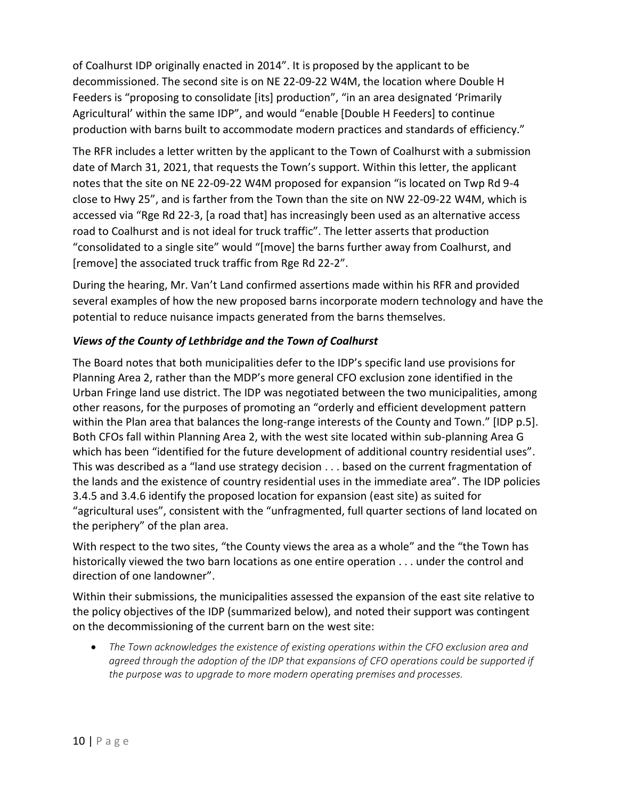of Coalhurst IDP originally enacted in 2014". It is proposed by the applicant to be decommissioned. The second site is on NE 22-09-22 W4M, the location where Double H Feeders is "proposing to consolidate [its] production", "in an area designated 'Primarily Agricultural' within the same IDP", and would "enable [Double H Feeders] to continue production with barns built to accommodate modern practices and standards of efficiency."

The RFR includes a letter written by the applicant to the Town of Coalhurst with a submission date of March 31, 2021, that requests the Town's support. Within this letter, the applicant notes that the site on NE 22-09-22 W4M proposed for expansion "is located on Twp Rd 9-4 close to Hwy 25", and is farther from the Town than the site on NW 22-09-22 W4M, which is accessed via "Rge Rd 22-3, [a road that] has increasingly been used as an alternative access road to Coalhurst and is not ideal for truck traffic". The letter asserts that production "consolidated to a single site" would "[move] the barns further away from Coalhurst, and [remove] the associated truck traffic from Rge Rd 22-2".

During the hearing, Mr. Van't Land confirmed assertions made within his RFR and provided several examples of how the new proposed barns incorporate modern technology and have the potential to reduce nuisance impacts generated from the barns themselves.

#### *Views of the County of Lethbridge and the Town of Coalhurst*

The Board notes that both municipalities defer to the IDP's specific land use provisions for Planning Area 2, rather than the MDP's more general CFO exclusion zone identified in the Urban Fringe land use district. The IDP was negotiated between the two municipalities, among other reasons, for the purposes of promoting an "orderly and efficient development pattern within the Plan area that balances the long-range interests of the County and Town." [IDP p.5]. Both CFOs fall within Planning Area 2, with the west site located within sub-planning Area G which has been "identified for the future development of additional country residential uses". This was described as a "land use strategy decision . . . based on the current fragmentation of the lands and the existence of country residential uses in the immediate area". The IDP policies 3.4.5 and 3.4.6 identify the proposed location for expansion (east site) as suited for "agricultural uses", consistent with the "unfragmented, full quarter sections of land located on the periphery" of the plan area.

With respect to the two sites, "the County views the area as a whole" and the "the Town has historically viewed the two barn locations as one entire operation . . . under the control and direction of one landowner".

Within their submissions, the municipalities assessed the expansion of the east site relative to the policy objectives of the IDP (summarized below), and noted their support was contingent on the decommissioning of the current barn on the west site:

 *The Town acknowledges the existence of existing operations within the CFO exclusion area and agreed through the adoption of the IDP that expansions of CFO operations could be supported if the purpose was to upgrade to more modern operating premises and processes.*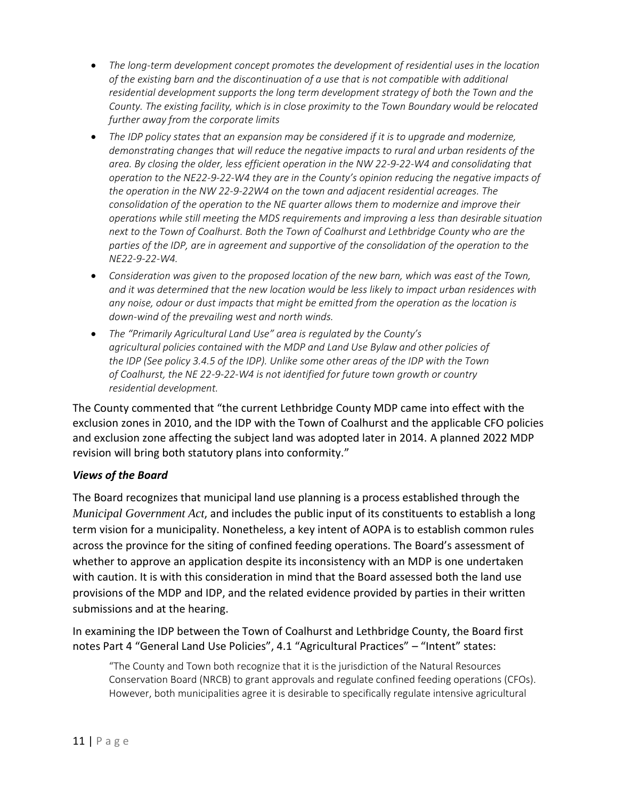- *The long-term development concept promotes the development of residential uses in the location of the existing barn and the discontinuation of a use that is not compatible with additional residential development supports the long term development strategy of both the Town and the County. The existing facility, which is in close proximity to the Town Boundary would be relocated further away from the corporate limits*
- *The IDP policy states that an expansion may be considered if it is to upgrade and modernize, demonstrating changes that will reduce the negative impacts to rural and urban residents of the area. By closing the older, less efficient operation in the NW 22-9-22-W4 and consolidating that operation to the NE22-9-22-W4 they are in the County's opinion reducing the negative impacts of the operation in the NW 22-9-22W4 on the town and adjacent residential acreages. The consolidation of the operation to the NE quarter allows them to modernize and improve their operations while still meeting the MDS requirements and improving a less than desirable situation next to the Town of Coalhurst. Both the Town of Coalhurst and Lethbridge County who are the parties of the IDP, are in agreement and supportive of the consolidation of the operation to the NE22-9-22-W4.*
- *Consideration was given to the proposed location of the new barn, which was east of the Town, and it was determined that the new location would be less likely to impact urban residences with any noise, odour or dust impacts that might be emitted from the operation as the location is down-wind of the prevailing west and north winds.*
- *The "Primarily Agricultural Land Use" area is regulated by the County's agricultural policies contained with the MDP and Land Use Bylaw and other policies of the IDP (See policy 3.4.5 of the IDP). Unlike some other areas of the IDP with the Town of Coalhurst, the NE 22-9-22-W4 is not identified for future town growth or country residential development.*

The County commented that "the current Lethbridge County MDP came into effect with the exclusion zones in 2010, and the IDP with the Town of Coalhurst and the applicable CFO policies and exclusion zone affecting the subject land was adopted later in 2014. A planned 2022 MDP revision will bring both statutory plans into conformity."

#### *Views of the Board*

The Board recognizes that municipal land use planning is a process established through the *Municipal Government Act*, and includes the public input of its constituents to establish a long term vision for a municipality. Nonetheless, a key intent of AOPA is to establish common rules across the province for the siting of confined feeding operations. The Board's assessment of whether to approve an application despite its inconsistency with an MDP is one undertaken with caution. It is with this consideration in mind that the Board assessed both the land use provisions of the MDP and IDP, and the related evidence provided by parties in their written submissions and at the hearing.

In examining the IDP between the Town of Coalhurst and Lethbridge County, the Board first notes Part 4 "General Land Use Policies", 4.1 "Agricultural Practices" – "Intent" states:

"The County and Town both recognize that it is the jurisdiction of the Natural Resources Conservation Board (NRCB) to grant approvals and regulate confined feeding operations (CFOs). However, both municipalities agree it is desirable to specifically regulate intensive agricultural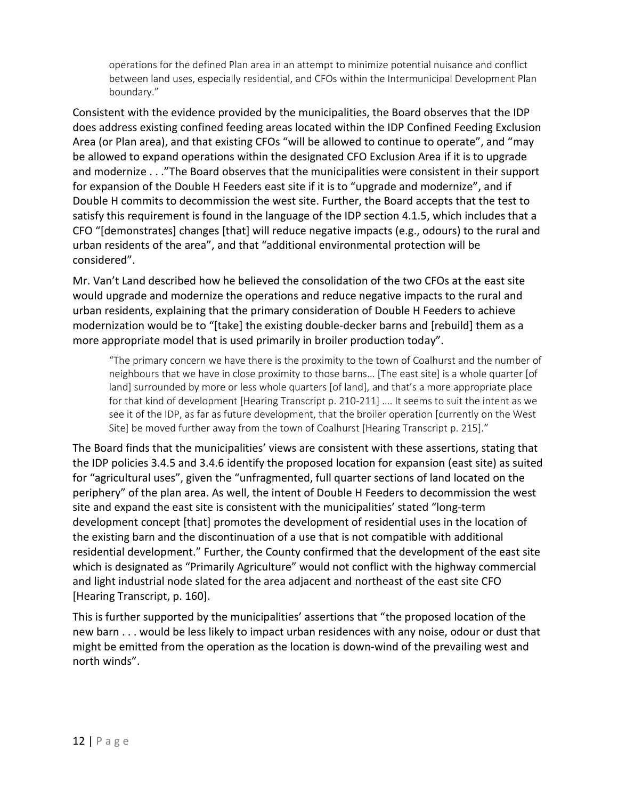operations for the defined Plan area in an attempt to minimize potential nuisance and conflict between land uses, especially residential, and CFOs within the Intermunicipal Development Plan boundary."

Consistent with the evidence provided by the municipalities, the Board observes that the IDP does address existing confined feeding areas located within the IDP Confined Feeding Exclusion Area (or Plan area), and that existing CFOs "will be allowed to continue to operate", and "may be allowed to expand operations within the designated CFO Exclusion Area if it is to upgrade and modernize . . ."The Board observes that the municipalities were consistent in their support for expansion of the Double H Feeders east site if it is to "upgrade and modernize", and if Double H commits to decommission the west site. Further, the Board accepts that the test to satisfy this requirement is found in the language of the IDP section 4.1.5, which includes that a CFO "[demonstrates] changes [that] will reduce negative impacts (e.g., odours) to the rural and urban residents of the area", and that "additional environmental protection will be considered".

Mr. Van't Land described how he believed the consolidation of the two CFOs at the east site would upgrade and modernize the operations and reduce negative impacts to the rural and urban residents, explaining that the primary consideration of Double H Feeders to achieve modernization would be to "[take] the existing double-decker barns and [rebuild] them as a more appropriate model that is used primarily in broiler production today".

"The primary concern we have there is the proximity to the town of Coalhurst and the number of neighbours that we have in close proximity to those barns… [The east site] is a whole quarter [of land] surrounded by more or less whole quarters [of land], and that's a more appropriate place for that kind of development [Hearing Transcript p. 210-211] …. It seems to suit the intent as we see it of the IDP, as far as future development, that the broiler operation [currently on the West Site] be moved further away from the town of Coalhurst [Hearing Transcript p. 215]."

The Board finds that the municipalities' views are consistent with these assertions, stating that the IDP policies 3.4.5 and 3.4.6 identify the proposed location for expansion (east site) as suited for "agricultural uses", given the "unfragmented, full quarter sections of land located on the periphery" of the plan area. As well, the intent of Double H Feeders to decommission the west site and expand the east site is consistent with the municipalities' stated "long-term development concept [that] promotes the development of residential uses in the location of the existing barn and the discontinuation of a use that is not compatible with additional residential development." Further, the County confirmed that the development of the east site which is designated as "Primarily Agriculture" would not conflict with the highway commercial and light industrial node slated for the area adjacent and northeast of the east site CFO [Hearing Transcript, p. 160].

This is further supported by the municipalities' assertions that "the proposed location of the new barn . . . would be less likely to impact urban residences with any noise, odour or dust that might be emitted from the operation as the location is down-wind of the prevailing west and north winds".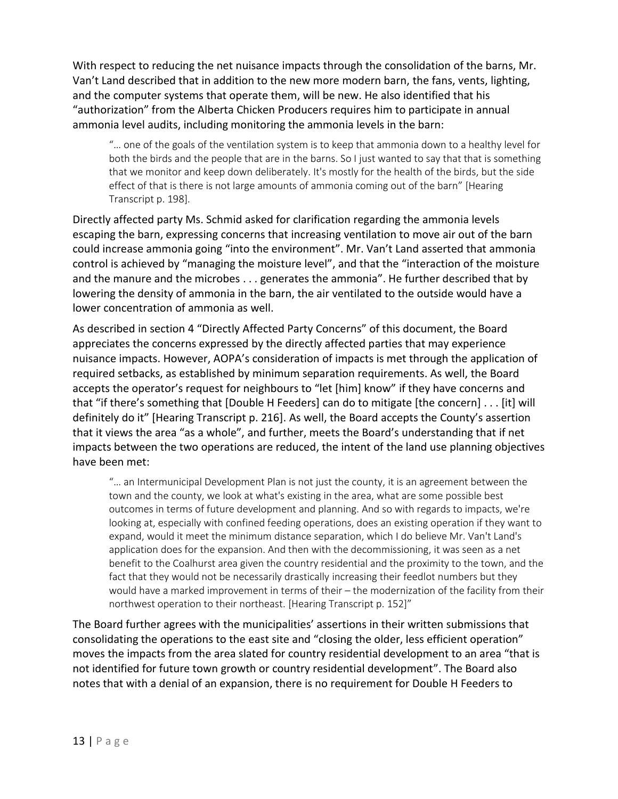With respect to reducing the net nuisance impacts through the consolidation of the barns, Mr. Van't Land described that in addition to the new more modern barn, the fans, vents, lighting, and the computer systems that operate them, will be new. He also identified that his "authorization" from the Alberta Chicken Producers requires him to participate in annual ammonia level audits, including monitoring the ammonia levels in the barn:

"… one of the goals of the ventilation system is to keep that ammonia down to a healthy level for both the birds and the people that are in the barns. So I just wanted to say that that is something that we monitor and keep down deliberately. It's mostly for the health of the birds, but the side effect of that is there is not large amounts of ammonia coming out of the barn" [Hearing Transcript p. 198].

Directly affected party Ms. Schmid asked for clarification regarding the ammonia levels escaping the barn, expressing concerns that increasing ventilation to move air out of the barn could increase ammonia going "into the environment". Mr. Van't Land asserted that ammonia control is achieved by "managing the moisture level", and that the "interaction of the moisture and the manure and the microbes . . . generates the ammonia". He further described that by lowering the density of ammonia in the barn, the air ventilated to the outside would have a lower concentration of ammonia as well.

As described in section 4 "Directly Affected Party Concerns" of this document, the Board appreciates the concerns expressed by the directly affected parties that may experience nuisance impacts. However, AOPA's consideration of impacts is met through the application of required setbacks, as established by minimum separation requirements. As well, the Board accepts the operator's request for neighbours to "let [him] know" if they have concerns and that "if there's something that [Double H Feeders] can do to mitigate [the concern] . . . [it] will definitely do it" [Hearing Transcript p. 216]. As well, the Board accepts the County's assertion that it views the area "as a whole", and further, meets the Board's understanding that if net impacts between the two operations are reduced, the intent of the land use planning objectives have been met:

"… an Intermunicipal Development Plan is not just the county, it is an agreement between the town and the county, we look at what's existing in the area, what are some possible best outcomes in terms of future development and planning. And so with regards to impacts, we're looking at, especially with confined feeding operations, does an existing operation if they want to expand, would it meet the minimum distance separation, which I do believe Mr. Van't Land's application does for the expansion. And then with the decommissioning, it was seen as a net benefit to the Coalhurst area given the country residential and the proximity to the town, and the fact that they would not be necessarily drastically increasing their feedlot numbers but they would have a marked improvement in terms of their – the modernization of the facility from their northwest operation to their northeast. [Hearing Transcript p. 152]"

The Board further agrees with the municipalities' assertions in their written submissions that consolidating the operations to the east site and "closing the older, less efficient operation" moves the impacts from the area slated for country residential development to an area "that is not identified for future town growth or country residential development". The Board also notes that with a denial of an expansion, there is no requirement for Double H Feeders to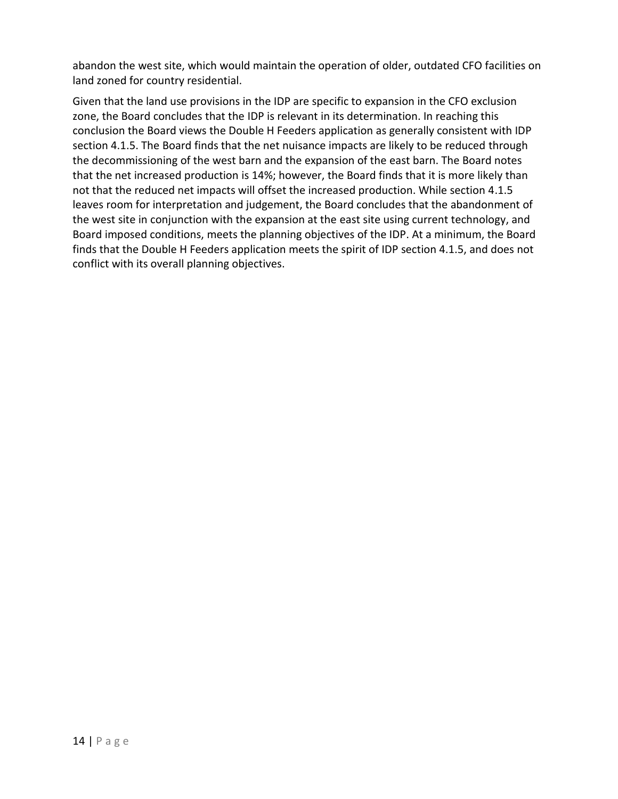abandon the west site, which would maintain the operation of older, outdated CFO facilities on land zoned for country residential.

Given that the land use provisions in the IDP are specific to expansion in the CFO exclusion zone, the Board concludes that the IDP is relevant in its determination. In reaching this conclusion the Board views the Double H Feeders application as generally consistent with IDP section 4.1.5. The Board finds that the net nuisance impacts are likely to be reduced through the decommissioning of the west barn and the expansion of the east barn. The Board notes that the net increased production is 14%; however, the Board finds that it is more likely than not that the reduced net impacts will offset the increased production. While section 4.1.5 leaves room for interpretation and judgement, the Board concludes that the abandonment of the west site in conjunction with the expansion at the east site using current technology, and Board imposed conditions, meets the planning objectives of the IDP. At a minimum, the Board finds that the Double H Feeders application meets the spirit of IDP section 4.1.5, and does not conflict with its overall planning objectives.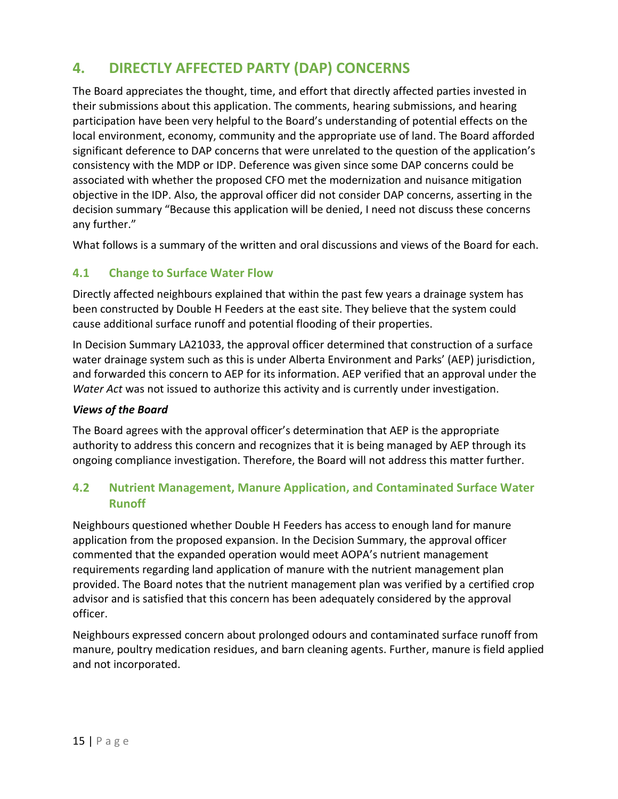# <span id="page-15-0"></span>**4. DIRECTLY AFFECTED PARTY (DAP) CONCERNS**

The Board appreciates the thought, time, and effort that directly affected parties invested in their submissions about this application. The comments, hearing submissions, and hearing participation have been very helpful to the Board's understanding of potential effects on the local environment, economy, community and the appropriate use of land. The Board afforded significant deference to DAP concerns that were unrelated to the question of the application's consistency with the MDP or IDP. Deference was given since some DAP concerns could be associated with whether the proposed CFO met the modernization and nuisance mitigation objective in the IDP. Also, the approval officer did not consider DAP concerns, asserting in the decision summary "Because this application will be denied, I need not discuss these concerns any further."

What follows is a summary of the written and oral discussions and views of the Board for each.

#### <span id="page-15-1"></span>**4.1 Change to Surface Water Flow**

Directly affected neighbours explained that within the past few years a drainage system has been constructed by Double H Feeders at the east site. They believe that the system could cause additional surface runoff and potential flooding of their properties.

In Decision Summary LA21033, the approval officer determined that construction of a surface water drainage system such as this is under Alberta Environment and Parks' (AEP) jurisdiction, and forwarded this concern to AEP for its information. AEP verified that an approval under the *Water Act* was not issued to authorize this activity and is currently under investigation.

#### *Views of the Board*

The Board agrees with the approval officer's determination that AEP is the appropriate authority to address this concern and recognizes that it is being managed by AEP through its ongoing compliance investigation. Therefore, the Board will not address this matter further.

#### <span id="page-15-2"></span>**4.2 Nutrient Management, Manure Application, and Contaminated Surface Water Runoff**

Neighbours questioned whether Double H Feeders has access to enough land for manure application from the proposed expansion. In the Decision Summary, the approval officer commented that the expanded operation would meet AOPA's nutrient management requirements regarding land application of manure with the nutrient management plan provided. The Board notes that the nutrient management plan was verified by a certified crop advisor and is satisfied that this concern has been adequately considered by the approval officer.

Neighbours expressed concern about prolonged odours and contaminated surface runoff from manure, poultry medication residues, and barn cleaning agents. Further, manure is field applied and not incorporated.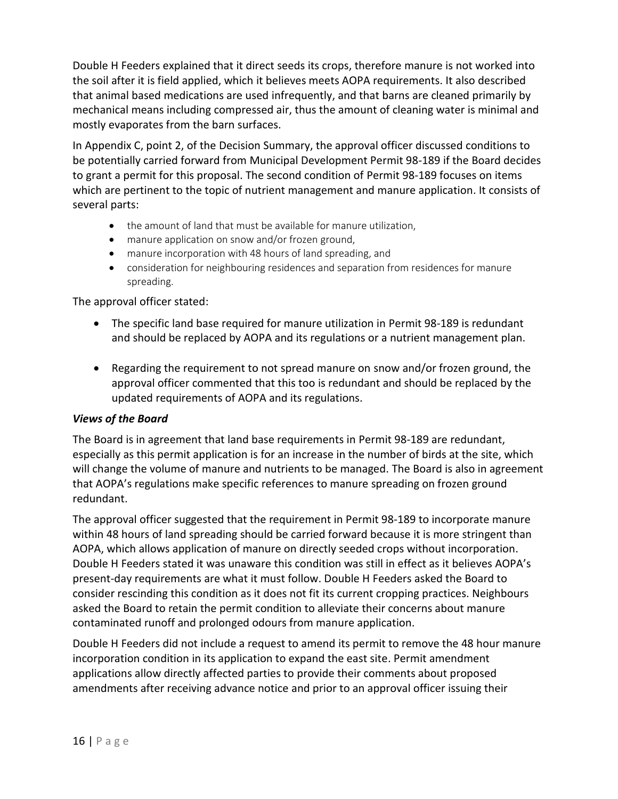Double H Feeders explained that it direct seeds its crops, therefore manure is not worked into the soil after it is field applied, which it believes meets AOPA requirements. It also described that animal based medications are used infrequently, and that barns are cleaned primarily by mechanical means including compressed air, thus the amount of cleaning water is minimal and mostly evaporates from the barn surfaces.

In Appendix C, point 2, of the Decision Summary, the approval officer discussed conditions to be potentially carried forward from Municipal Development Permit 98-189 if the Board decides to grant a permit for this proposal. The second condition of Permit 98-189 focuses on items which are pertinent to the topic of nutrient management and manure application. It consists of several parts:

- the amount of land that must be available for manure utilization,
- manure application on snow and/or frozen ground,
- manure incorporation with 48 hours of land spreading, and
- consideration for neighbouring residences and separation from residences for manure spreading.

The approval officer stated:

- The specific land base required for manure utilization in Permit 98-189 is redundant and should be replaced by AOPA and its regulations or a nutrient management plan.
- Regarding the requirement to not spread manure on snow and/or frozen ground, the approval officer commented that this too is redundant and should be replaced by the updated requirements of AOPA and its regulations.

#### *Views of the Board*

The Board is in agreement that land base requirements in Permit 98-189 are redundant, especially as this permit application is for an increase in the number of birds at the site, which will change the volume of manure and nutrients to be managed. The Board is also in agreement that AOPA's regulations make specific references to manure spreading on frozen ground redundant.

The approval officer suggested that the requirement in Permit 98-189 to incorporate manure within 48 hours of land spreading should be carried forward because it is more stringent than AOPA, which allows application of manure on directly seeded crops without incorporation. Double H Feeders stated it was unaware this condition was still in effect as it believes AOPA's present-day requirements are what it must follow. Double H Feeders asked the Board to consider rescinding this condition as it does not fit its current cropping practices. Neighbours asked the Board to retain the permit condition to alleviate their concerns about manure contaminated runoff and prolonged odours from manure application.

Double H Feeders did not include a request to amend its permit to remove the 48 hour manure incorporation condition in its application to expand the east site. Permit amendment applications allow directly affected parties to provide their comments about proposed amendments after receiving advance notice and prior to an approval officer issuing their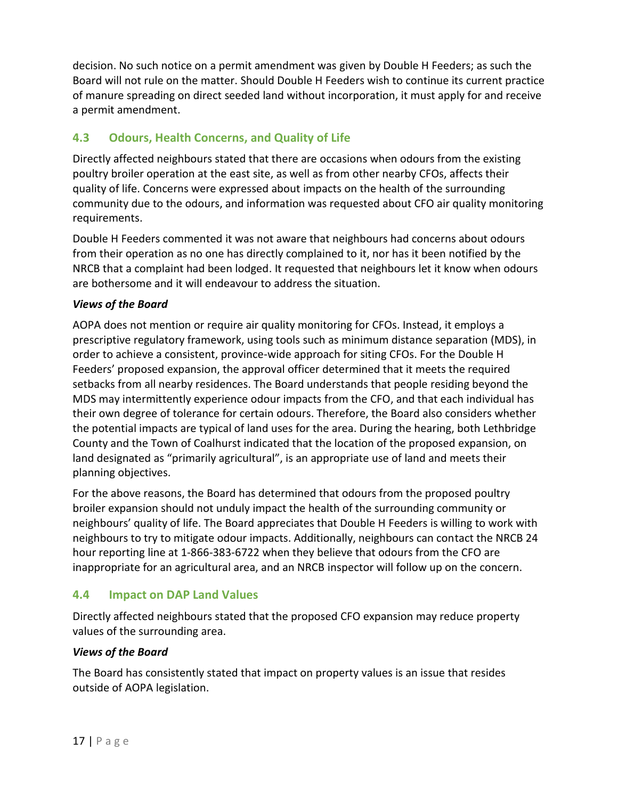decision. No such notice on a permit amendment was given by Double H Feeders; as such the Board will not rule on the matter. Should Double H Feeders wish to continue its current practice of manure spreading on direct seeded land without incorporation, it must apply for and receive a permit amendment.

### <span id="page-17-0"></span>**4.3 Odours, Health Concerns, and Quality of Life**

Directly affected neighbours stated that there are occasions when odours from the existing poultry broiler operation at the east site, as well as from other nearby CFOs, affects their quality of life. Concerns were expressed about impacts on the health of the surrounding community due to the odours, and information was requested about CFO air quality monitoring requirements.

Double H Feeders commented it was not aware that neighbours had concerns about odours from their operation as no one has directly complained to it, nor has it been notified by the NRCB that a complaint had been lodged. It requested that neighbours let it know when odours are bothersome and it will endeavour to address the situation.

#### *Views of the Board*

AOPA does not mention or require air quality monitoring for CFOs. Instead, it employs a prescriptive regulatory framework, using tools such as minimum distance separation (MDS), in order to achieve a consistent, province-wide approach for siting CFOs. For the Double H Feeders' proposed expansion, the approval officer determined that it meets the required setbacks from all nearby residences. The Board understands that people residing beyond the MDS may intermittently experience odour impacts from the CFO, and that each individual has their own degree of tolerance for certain odours. Therefore, the Board also considers whether the potential impacts are typical of land uses for the area. During the hearing, both Lethbridge County and the Town of Coalhurst indicated that the location of the proposed expansion, on land designated as "primarily agricultural", is an appropriate use of land and meets their planning objectives.

For the above reasons, the Board has determined that odours from the proposed poultry broiler expansion should not unduly impact the health of the surrounding community or neighbours' quality of life. The Board appreciates that Double H Feeders is willing to work with neighbours to try to mitigate odour impacts. Additionally, neighbours can contact the NRCB 24 hour reporting line at 1-866-383-6722 when they believe that odours from the CFO are inappropriate for an agricultural area, and an NRCB inspector will follow up on the concern.

## <span id="page-17-1"></span>**4.4 Impact on DAP Land Values**

Directly affected neighbours stated that the proposed CFO expansion may reduce property values of the surrounding area.

#### *Views of the Board*

The Board has consistently stated that impact on property values is an issue that resides outside of AOPA legislation.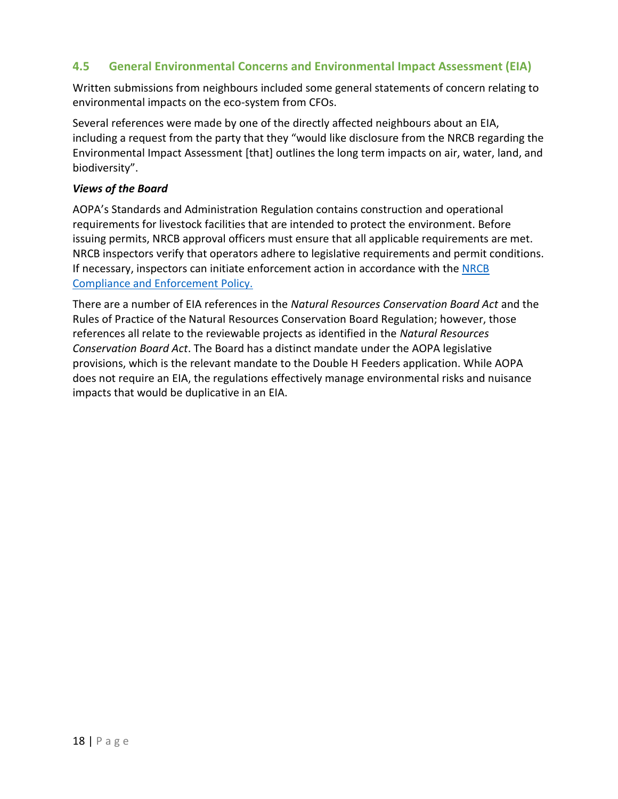### <span id="page-18-0"></span>**4.5 General Environmental Concerns and Environmental Impact Assessment (EIA)**

Written submissions from neighbours included some general statements of concern relating to environmental impacts on the eco-system from CFOs.

Several references were made by one of the directly affected neighbours about an EIA, including a request from the party that they "would like disclosure from the NRCB regarding the Environmental Impact Assessment [that] outlines the long term impacts on air, water, land, and biodiversity".

#### *Views of the Board*

AOPA's Standards and Administration Regulation contains construction and operational requirements for livestock facilities that are intended to protect the environment. Before issuing permits, NRCB approval officers must ensure that all applicable requirements are met. NRCB inspectors verify that operators adhere to legislative requirements and permit conditions. If necessary, inspectors can initiate enforcement action in accordance with the [NRCB](https://www.nrcb.ca/public/download/files/97589)  [Compliance and Enforcement Policy.](https://www.nrcb.ca/public/download/files/97589)

There are a number of EIA references in the *Natural Resources Conservation Board Act* and the Rules of Practice of the Natural Resources Conservation Board Regulation; however, those references all relate to the reviewable projects as identified in the *Natural Resources Conservation Board Act*. The Board has a distinct mandate under the AOPA legislative provisions, which is the relevant mandate to the Double H Feeders application. While AOPA does not require an EIA, the regulations effectively manage environmental risks and nuisance impacts that would be duplicative in an EIA.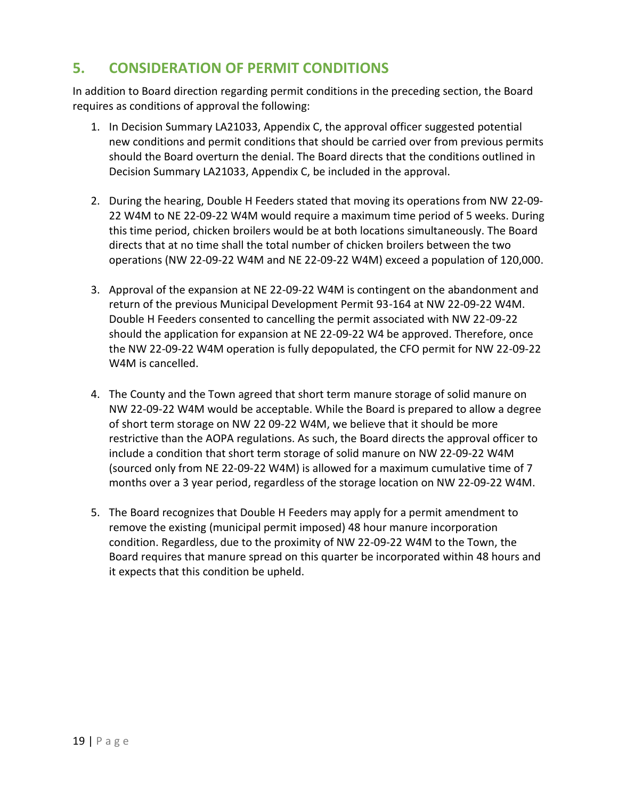# <span id="page-19-0"></span>**5. CONSIDERATION OF PERMIT CONDITIONS**

In addition to Board direction regarding permit conditions in the preceding section, the Board requires as conditions of approval the following:

- 1. In Decision Summary LA21033, Appendix C, the approval officer suggested potential new conditions and permit conditions that should be carried over from previous permits should the Board overturn the denial. The Board directs that the conditions outlined in Decision Summary LA21033, Appendix C, be included in the approval.
- 2. During the hearing, Double H Feeders stated that moving its operations from NW 22-09- 22 W4M to NE 22-09-22 W4M would require a maximum time period of 5 weeks. During this time period, chicken broilers would be at both locations simultaneously. The Board directs that at no time shall the total number of chicken broilers between the two operations (NW 22-09-22 W4M and NE 22-09-22 W4M) exceed a population of 120,000.
- 3. Approval of the expansion at NE 22-09-22 W4M is contingent on the abandonment and return of the previous Municipal Development Permit 93-164 at NW 22-09-22 W4M. Double H Feeders consented to cancelling the permit associated with NW 22-09-22 should the application for expansion at NE 22-09-22 W4 be approved. Therefore, once the NW 22-09-22 W4M operation is fully depopulated, the CFO permit for NW 22-09-22 W4M is cancelled.
- 4. The County and the Town agreed that short term manure storage of solid manure on NW 22-09-22 W4M would be acceptable. While the Board is prepared to allow a degree of short term storage on NW 22 09-22 W4M, we believe that it should be more restrictive than the AOPA regulations. As such, the Board directs the approval officer to include a condition that short term storage of solid manure on NW 22-09-22 W4M (sourced only from NE 22-09-22 W4M) is allowed for a maximum cumulative time of 7 months over a 3 year period, regardless of the storage location on NW 22-09-22 W4M.
- 5. The Board recognizes that Double H Feeders may apply for a permit amendment to remove the existing (municipal permit imposed) 48 hour manure incorporation condition. Regardless, due to the proximity of NW 22-09-22 W4M to the Town, the Board requires that manure spread on this quarter be incorporated within 48 hours and it expects that this condition be upheld.